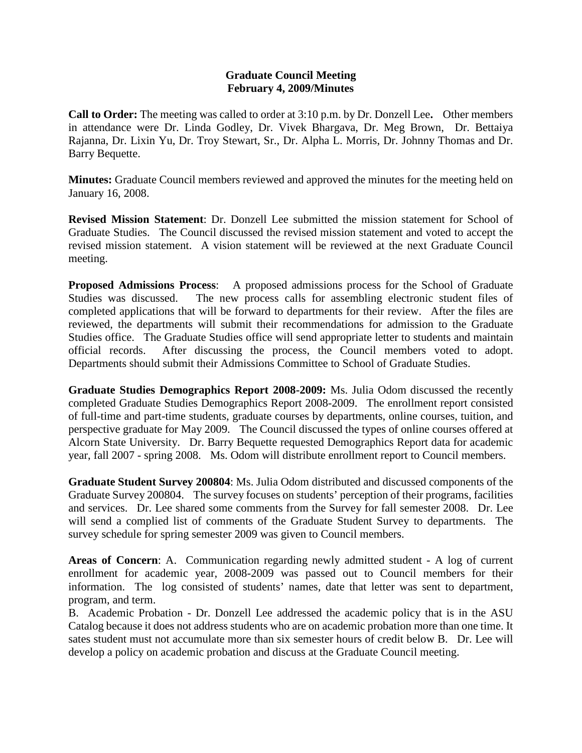## **Graduate Council Meeting February 4, 2009/Minutes**

**Call to Order:** The meeting was called to order at 3:10 p.m. by Dr. Donzell Lee**.** Other members in attendance were Dr. Linda Godley, Dr. Vivek Bhargava, Dr. Meg Brown, Dr. Bettaiya Rajanna, Dr. Lixin Yu, Dr. Troy Stewart, Sr., Dr. Alpha L. Morris, Dr. Johnny Thomas and Dr. Barry Bequette.

**Minutes:** Graduate Council members reviewed and approved the minutes for the meeting held on January 16, 2008.

**Revised Mission Statement**: Dr. Donzell Lee submitted the mission statement for School of Graduate Studies. The Council discussed the revised mission statement and voted to accept the revised mission statement. A vision statement will be reviewed at the next Graduate Council meeting.

**Proposed Admissions Process**: A proposed admissions process for the School of Graduate Studies was discussed. The new process calls for assembling electronic student files of completed applications that will be forward to departments for their review. After the files are reviewed, the departments will submit their recommendations for admission to the Graduate Studies office. The Graduate Studies office will send appropriate letter to students and maintain official records. After discussing the process, the Council members voted to adopt. Departments should submit their Admissions Committee to School of Graduate Studies.

**Graduate Studies Demographics Report 2008-2009:** Ms. Julia Odom discussed the recently completed Graduate Studies Demographics Report 2008-2009. The enrollment report consisted of full-time and part-time students, graduate courses by departments, online courses, tuition, and perspective graduate for May 2009. The Council discussed the types of online courses offered at Alcorn State University. Dr. Barry Bequette requested Demographics Report data for academic year, fall 2007 - spring 2008. Ms. Odom will distribute enrollment report to Council members.

**Graduate Student Survey 200804**: Ms. Julia Odom distributed and discussed components of the Graduate Survey 200804. The survey focuses on students' perception of their programs, facilities and services. Dr. Lee shared some comments from the Survey for fall semester 2008. Dr. Lee will send a complied list of comments of the Graduate Student Survey to departments. The survey schedule for spring semester 2009 was given to Council members.

**Areas of Concern**: A. Communication regarding newly admitted student - A log of current enrollment for academic year, 2008-2009 was passed out to Council members for their information. The log consisted of students' names, date that letter was sent to department, program, and term.

B. Academic Probation - Dr. Donzell Lee addressed the academic policy that is in the ASU Catalog because it does not address students who are on academic probation more than one time. It sates student must not accumulate more than six semester hours of credit below B. Dr. Lee will develop a policy on academic probation and discuss at the Graduate Council meeting.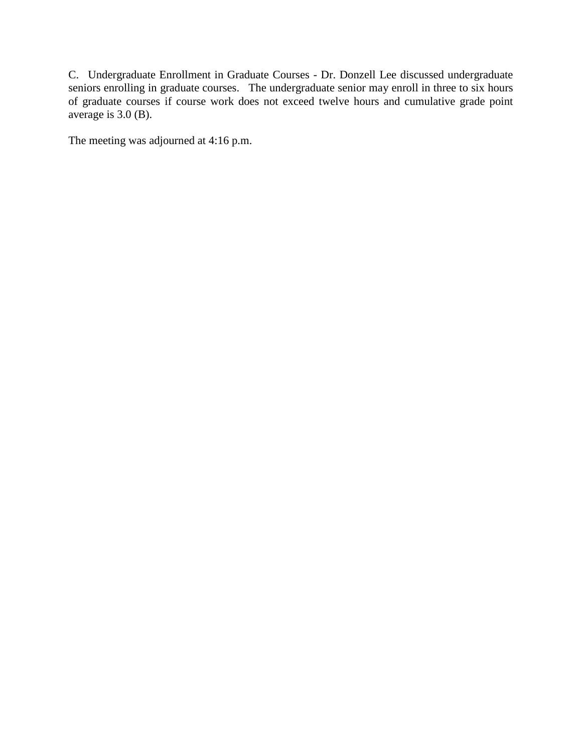C. Undergraduate Enrollment in Graduate Courses - Dr. Donzell Lee discussed undergraduate seniors enrolling in graduate courses. The undergraduate senior may enroll in three to six hours of graduate courses if course work does not exceed twelve hours and cumulative grade point average is 3.0 (B).

The meeting was adjourned at 4:16 p.m.